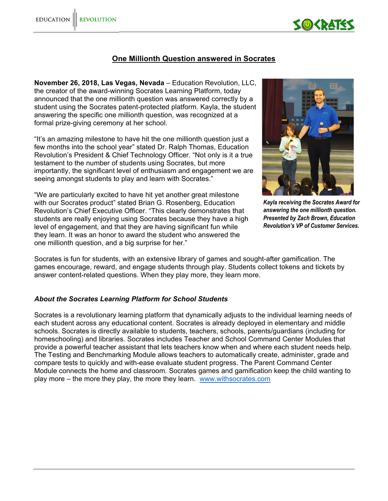

## **One Millionth Question answered in Socrates**

**November 26, 2018, Las Vegas, Nevada** – Education Revolution, LLC, the creator of the award-winning Socrates Learning Platform, today announced that the one millionth question was answered correctly by a student using the Socrates patent-protected platform. Kayla, the student answering the specific one millionth question, was recognized at a formal prize-giving ceremony at her school.

"It's an amazing milestone to have hit the one millionth question just a few months into the school year" stated Dr. Ralph Thomas, Education Revolution's President & Chief Technology Officer. "Not only is it a true testament to the number of students using Socrates, but more importantly, the significant level of enthusiasm and engagement we are seeing amongst students to play and learn with Socrates."

"We are particularly excited to have hit yet another great milestone with our Socrates product" stated Brian G. Rosenberg, Education Revolution's Chief Executive Officer. "This clearly demonstrates that students are really enjoying using Socrates because they have a high level of engagement, and that they are having significant fun while they learn. It was an honor to award the student who answered the one millionth question, and a big surprise for her."



*Kayla receiving the Socrates Award for answering the one millionth question. Presented by Zach Brown, Education Revolution's VP of Customer Services.* 

Socrates is fun for students, with an extensive library of games and sought-after gamification. The games encourage, reward, and engage students through play. Students collect tokens and tickets by answer content-related questions. When they play more, they learn more.

## *About the Socrates Learning Platform for School Students*

Socrates is a revolutionary learning platform that dynamically adjusts to the individual learning needs of each student across any educational content. Socrates is already deployed in elementary and middle schools. Socrates is directly available to students, teachers, schools, parents/guardians (including for homeschooling) and libraries. Socrates includes Teacher and School Command Center Modules that provide a powerful teacher assistant that lets teachers know when and where each student needs help. The Testing and Benchmarking Module allows teachers to automatically create, administer, grade and compare tests to quickly and with-ease evaluate student progress. The Parent Command Center Module connects the home and classroom. Socrates games and gamification keep the child wanting to play more – the more they play, the more they learn. www.withsocrates.com